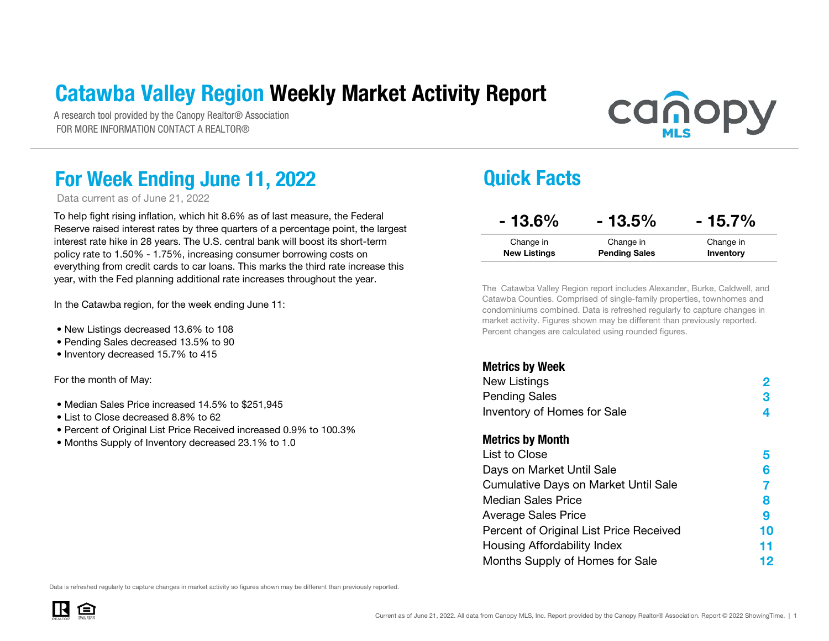### Catawba Valley Region Weekly Market Activity Report

A research tool provided by the Canopy Realtor® Association FOR MORE INFORMATION CONTACT A REALTOR®

# **canopy**

### For Week Ending June 11, 2022 **Quick Facts**

Data current as of June 21, 2022

To help fight rising inflation, which hit 8.6% as of last measure, the Federal Reserve raised interest rates by three quarters of a percentage point, the largest interest rate hike in 28 years. The U.S. central bank will boost its short-term policy rate to 1.50% - 1.75%, increasing consumer borrowing costs on everything from credit cards to car loans. This marks the third rate increase this year, with the Fed planning additional rate increases throughout the year.

In the Catawba region, for the week ending June 11:

- New Listings decreased 13.6% to 108
- Pending Sales decreased 13.5% to 90
- Inventory decreased 15.7% to 415

For the month of May:

- Median Sales Price increased 14.5% to \$251,945
- List to Close decreased 8.8% to 62
- Percent of Original List Price Received increased 0.9% to 100.3%
- Months Supply of Inventory decreased 23.1% to 1.0

| $-13.6%$            | $-13.5%$             | $-15.7%$  |
|---------------------|----------------------|-----------|
| Change in           | Change in            | Change in |
| <b>New Listings</b> | <b>Pending Sales</b> | Inventory |
|                     |                      |           |

The Catawba Valley Region report includes Alexander, Burke, Caldwell, and Catawba Counties. Comprised of single-family properties, townhomes and condominiums combined. Data is refreshed regularly to capture changes in market activity. Figures shown may be different than previously reported. Percent changes are calculated using rounded figures.

#### Metrics by Week 234Metrics by Month 56789101112Housing Affordability Index List to CloseDays on Market Until Sale Median Sales PriceAverage Sales Price Cumulative Days on Market Until Sale New Listings Pending Sales Inventory of Homes for Sale Percent of Original List Price Received Months Supply of Homes for Sale

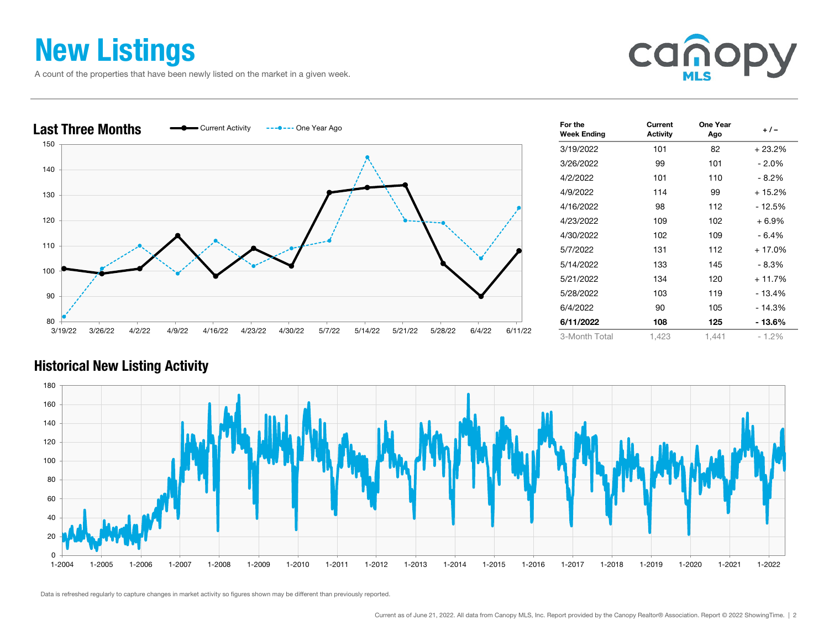### New Listings

A count of the properties that have been newly listed on the market in a given week.





| For the<br><b>Week Ending</b> | Current<br><b>Activity</b> | One Year<br>Ago | $+/-$    |
|-------------------------------|----------------------------|-----------------|----------|
| 3/19/2022                     | 101                        | 82              | $+23.2%$ |
| 3/26/2022                     | 99                         | 101             | - 2.0%   |
| 4/2/2022                      | 101                        | 110             | $-8.2%$  |
| 4/9/2022                      | 114                        | 99              | + 15.2%  |
| 4/16/2022                     | 98                         | 112             | - 12.5%  |
| 4/23/2022                     | 109                        | 102             | $+6.9%$  |
| 4/30/2022                     | 102                        | 109             | - 6.4%   |
| 5/7/2022                      | 131                        | 112             | $+17.0%$ |
| 5/14/2022                     | 133                        | 145             | - 8.3%   |
| 5/21/2022                     | 134                        | 120             | $+11.7%$ |
| 5/28/2022                     | 103                        | 119             | - 13.4%  |
| 6/4/2022                      | 90                         | 105             | $-14.3%$ |
| 6/11/2022                     | 108                        | 125             | - 13.6%  |
| 3-Month Total                 | 1,423                      | 1,441           | $-1.2%$  |

#### Historical New Listing Activity

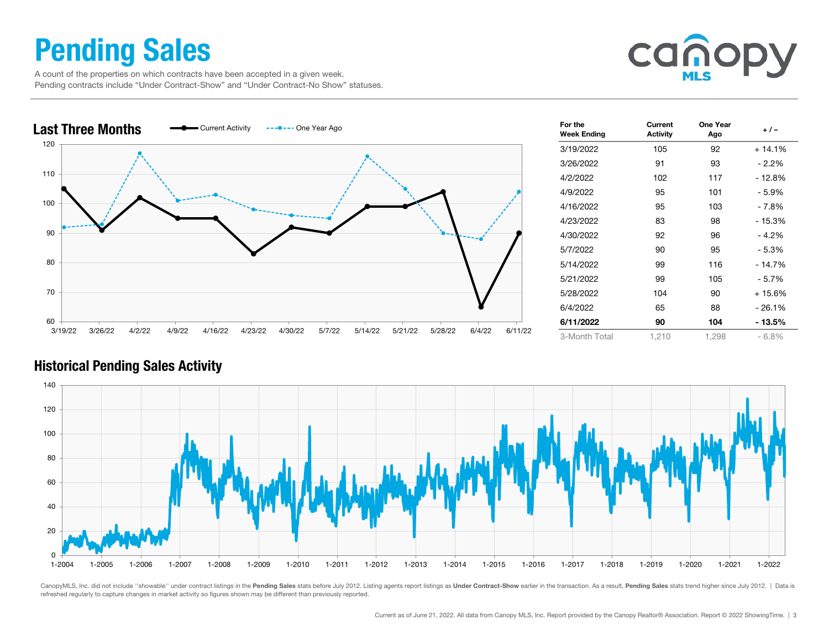### Pending Sales

 A count of the properties on which contracts have been accepted in a given week. Pending contracts include "Under Contract-Show" and "Under Contract-No Show" statuses.





| For the<br><b>Week Ending</b> | Current<br><b>Activity</b> | One Year<br>Ago | $+/-$    |
|-------------------------------|----------------------------|-----------------|----------|
| 3/19/2022                     | 105                        | 92              | $+14.1%$ |
| 3/26/2022                     | 91                         | 93              | $-2.2\%$ |
| 4/2/2022                      | 102                        | 117             | - 12.8%  |
| 4/9/2022                      | 95                         | 101             | - 5.9%   |
| 4/16/2022                     | 95                         | 103             | - 7.8%   |
| 4/23/2022                     | 83                         | 98              | - 15.3%  |
| 4/30/2022                     | 92                         | 96              | $-4.2%$  |
| 5/7/2022                      | 90                         | 95              | - 5.3%   |
| 5/14/2022                     | 99                         | 116             | $-14.7%$ |
| 5/21/2022                     | 99                         | 105             | $-5.7%$  |
| 5/28/2022                     | 104                        | 90              | + 15.6%  |
| 6/4/2022                      | 65                         | 88              | $-26.1%$ |
| 6/11/2022                     | 90                         | 104             | - 13.5%  |
| 3-Month Total                 | 1,210                      | 1,298           | $-6.8%$  |

#### Historical Pending Sales Activity



CanopyMLS, Inc. did not include "showable" under contract listings in the Pending Sales stats before July 2012. Listing agents report listings as Under Contract-Show earlier in the transaction. As a result, Pending Sales s refreshed regularly to capture changes in market activity so figures shown may be different than previously reported.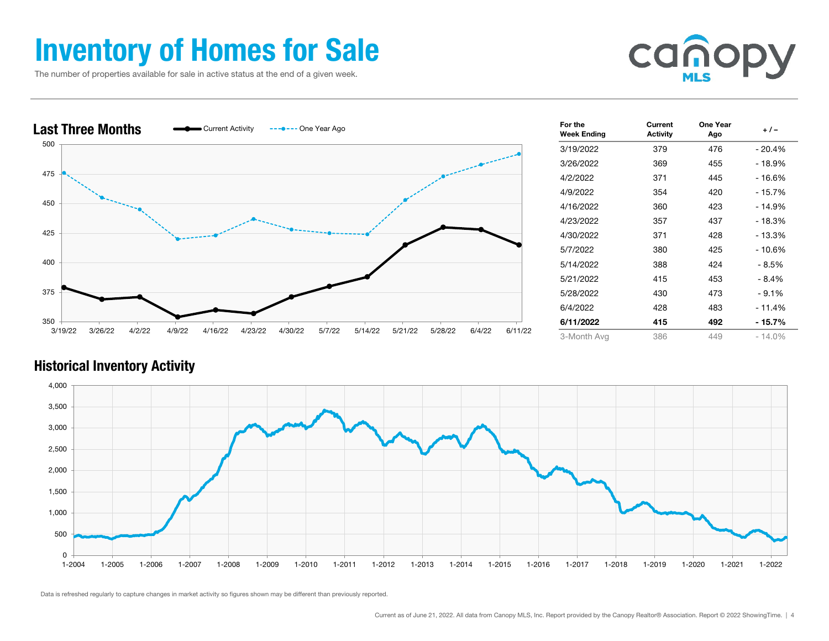### Inventory of Homes for Sale

The number of properties available for sale in active status at the end of a given week.





| For the<br><b>Week Ending</b> | Current<br><b>Activity</b> | One Year<br>Ago | + / -     |
|-------------------------------|----------------------------|-----------------|-----------|
| 3/19/2022                     | 379                        | 476             | - 20.4%   |
| 3/26/2022                     | 369                        | 455             | $-18.9%$  |
| 4/2/2022                      | 371                        | 445             | $-16.6%$  |
| 4/9/2022                      | 354                        | 420             | - 15.7%   |
| 4/16/2022                     | 360                        | 423             | $-14.9%$  |
| 4/23/2022                     | 357                        | 437             | - 18.3%   |
| 4/30/2022                     | 371                        | 428             | - 13.3%   |
| 5/7/2022                      | 380                        | 425             | - 10.6%   |
| 5/14/2022                     | 388                        | 424             | - 8.5%    |
| 5/21/2022                     | 415                        | 453             | - 8.4%    |
| 5/28/2022                     | 430                        | 473             | $-9.1%$   |
| 6/4/2022                      | 428                        | 483             | $-11.4%$  |
| 6/11/2022                     | 415                        | 492             | - 15.7%   |
| 3-Month Avg                   | 386                        | 449             | $-14.0\%$ |

#### Historical Inventory Activity

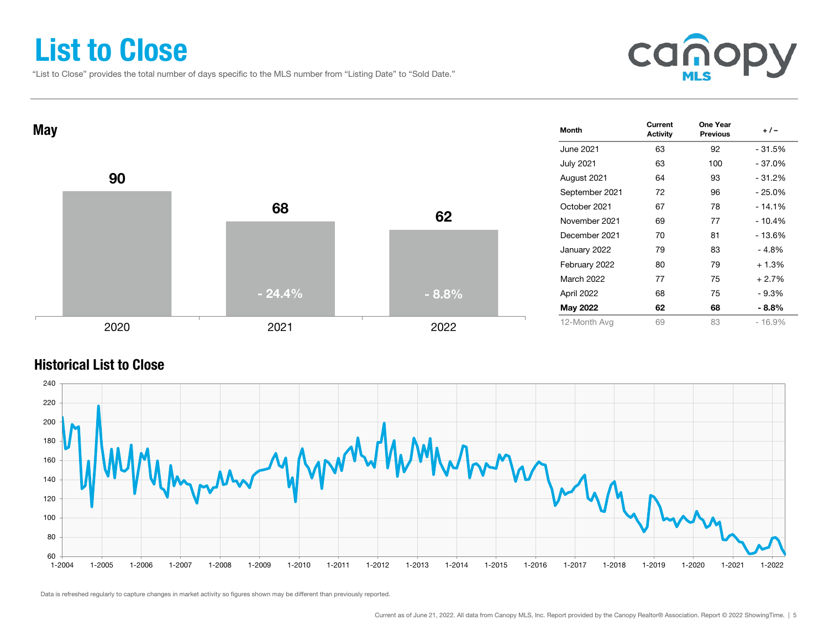### List to Close

"List to Close" provides the total number of days specific to the MLS number from "Listing Date" to "Sold Date."





#### Historical List to Close

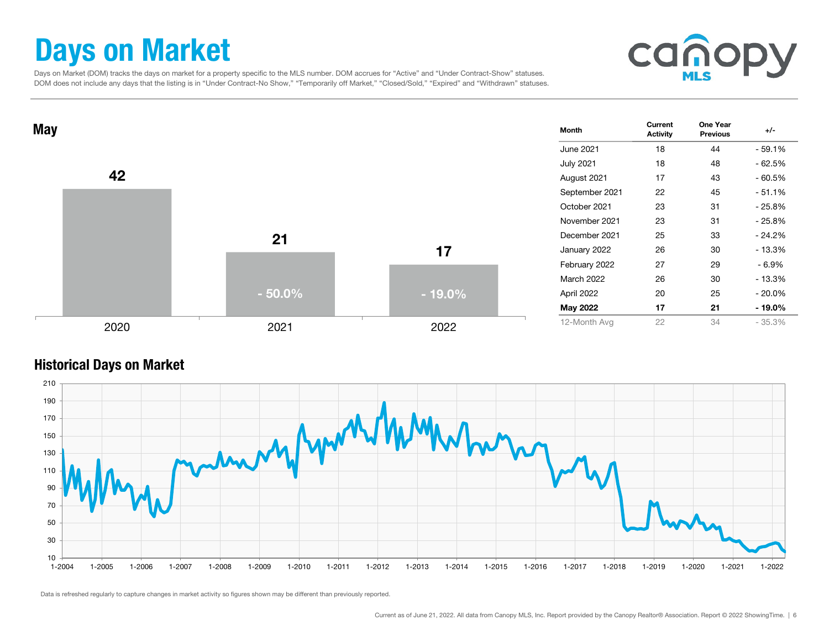### Days on Market

cano

 Days on Market (DOM) tracks the days on market for a property specific to the MLS number. DOM accrues for "Active" and "Under Contract-Show" statuses. DOM does not include any days that the listing is in "Under Contract-No Show," "Temporarily off Market," "Closed/Sold," "Expired" and "Withdrawn" statuses.



#### Historical Days on Market

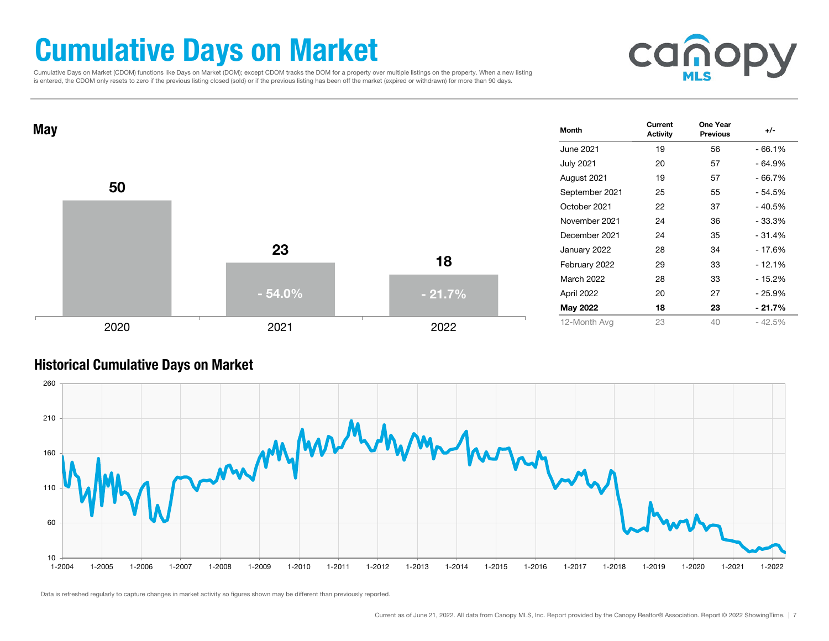### Cumulative Days on Market

 Cumulative Days on Market (CDOM) functions like Days on Market (DOM); except CDOM tracks the DOM for a property over multiple listings on the property. When a new listing is entered, the CDOM only resets to zero if the previous listing closed (sold) or if the previous listing has been off the market (expired or withdrawn) for more than 90 days.





#### Historical Cumulative Days on Market

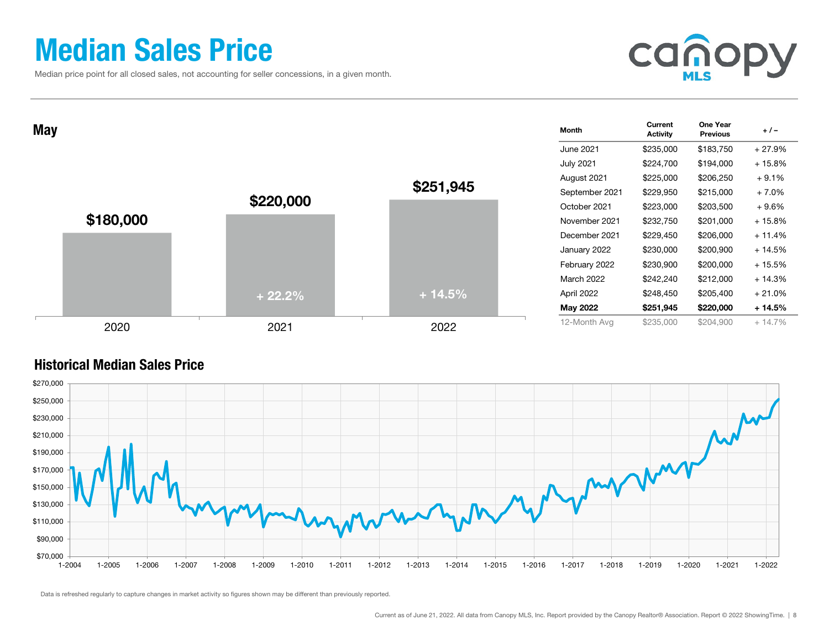### Median Sales Price

Median price point for all closed sales, not accounting for seller concessions, in a given month.



| <b>May</b> |           |           |           | Month            | Current<br><b>Activity</b> | One Year<br><b>Previous</b> | $+/-$    |
|------------|-----------|-----------|-----------|------------------|----------------------------|-----------------------------|----------|
|            |           |           |           | June 2021        | \$235,000                  | \$183,750                   | $+27.9%$ |
|            |           | \$220,000 |           | <b>July 2021</b> | \$224,700                  | \$194,000                   | $+15.8%$ |
|            |           |           |           | August 2021      | \$225,000                  | \$206,250                   | $+9.1%$  |
|            |           |           | \$251,945 | September 2021   | \$229,950                  | \$215,000                   | $+7.0%$  |
|            |           |           |           | October 2021     | \$223,000                  | \$203,500                   | + 9.6%   |
|            | \$180,000 |           |           | November 2021    | \$232,750                  | \$201,000                   | $+15.8%$ |
|            |           |           |           | December 2021    | \$229,450                  | \$206,000                   | $+11.4%$ |
|            |           |           |           | January 2022     | \$230,000                  | \$200,900                   | $+14.5%$ |
|            |           |           |           | February 2022    | \$230,900                  | \$200,000                   | $+15.5%$ |
|            |           |           |           | March 2022       | \$242,240                  | \$212,000                   | $+14.3%$ |
|            |           | $+22.2%$  | $+14.5%$  | April 2022       | \$248,450                  | \$205,400                   | $+21.0%$ |
|            |           |           |           | May 2022         | \$251,945                  | \$220,000                   | $+14.5%$ |
|            | 2020      | 2021      | 2022      | 12-Month Avg     | \$235,000                  | \$204,900                   | $+14.7%$ |

#### Historical Median Sales Price

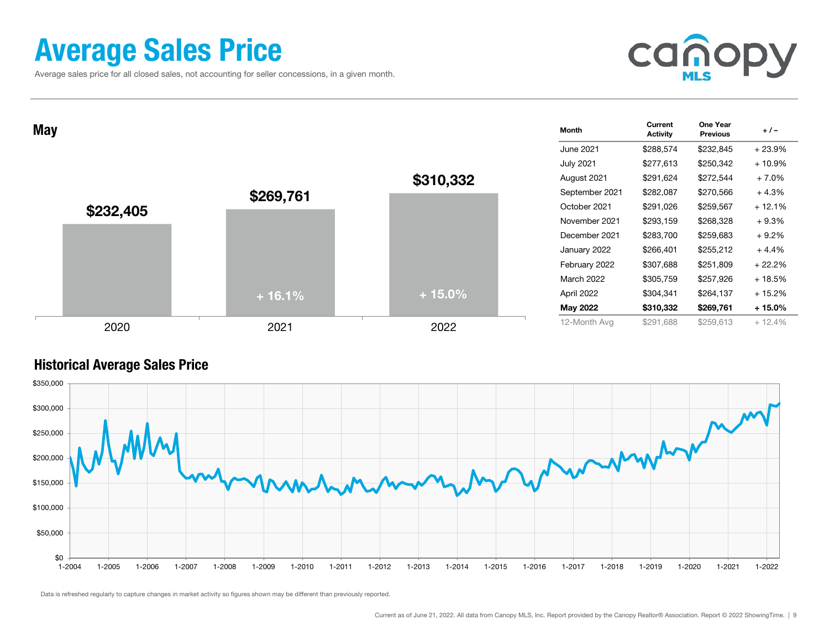### Average Sales Price

Average sales price for all closed sales, not accounting for seller concessions, in a given month.



| May       |           |           | Month            | Current<br><b>Activity</b> | One Year<br><b>Previous</b> | $+/-$    |
|-----------|-----------|-----------|------------------|----------------------------|-----------------------------|----------|
|           |           |           | June 2021        | \$288,574                  | \$232,845                   | $+23.9%$ |
|           |           |           | <b>July 2021</b> | \$277,613                  | \$250,342                   | $+10.9%$ |
|           |           | \$310,332 | August 2021      | \$291,624                  | \$272,544                   | $+7.0%$  |
|           | \$269,761 |           | September 2021   | \$282,087                  | \$270,566                   | $+4.3%$  |
| \$232,405 |           |           | October 2021     | \$291,026                  | \$259,567                   | $+12.1%$ |
|           |           |           | November 2021    | \$293,159                  | \$268,328                   | $+9.3%$  |
|           |           |           | December 2021    | \$283,700                  | \$259,683                   | $+9.2%$  |
|           |           |           | January 2022     | \$266,401                  | \$255,212                   | $+4.4%$  |
|           |           |           | February 2022    | \$307,688                  | \$251,809                   | $+22.2%$ |
|           |           |           | March 2022       | \$305,759                  | \$257,926                   | $+18.5%$ |
|           | $+16.1%$  | $+15.0%$  | April 2022       | \$304,341                  | \$264,137                   | $+15.2%$ |
|           |           |           | May 2022         | \$310,332                  | \$269,761                   | $+15.0%$ |
| 2020      | 2021      | 2022      | 12-Month Avg     | \$291,688                  | \$259,613                   | $+12.4%$ |

#### Historical Average Sales Price

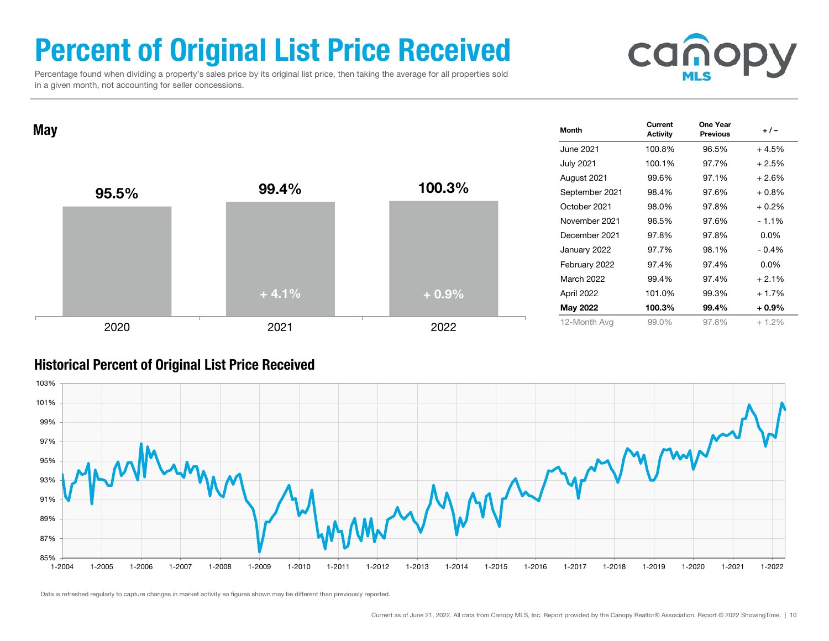### Percent of Original List Price Received

 Percentage found when dividing a property's sales price by its original list price, then taking the average for all properties sold in a given month, not accounting for seller concessions.



 $\mathsf{May} \begin{array}{cccc} \text{Current} & \text{One Year} \ \text{Activity} & \text{Previous} \end{array} \begin{array}{cccc} +/- \end{array}$ June 2021 100.8% 96.5% + 4.5%July 2021 100.1% 97.7% + 2.5% August 2021 99.6% 97.1% + 2.6% September 2021 98.4% 97.6% + 0.8% October 2021 98.0% 97.8% + 0.2% November 2021 96.5% 97.6% - 1.1%December 2021 97.8% 97.8% 0.0%January 2022 97.7% 98.1% - 0.4% February 2022 97.4% 97.4% 0.0% March 2022 99.4% 97.4% + 2.1%April 2022 101.0% 99.3% + 1.7% May 2022 100.3% 99.4% + 0.9% 12-Month Avg 99.0% 97.8% + 1.2% 95.5% $\%$  99.4% 100.3% 2020 2021 2022  $+4.1%$ + 0.9%

#### Historical Percent of Original List Price Received

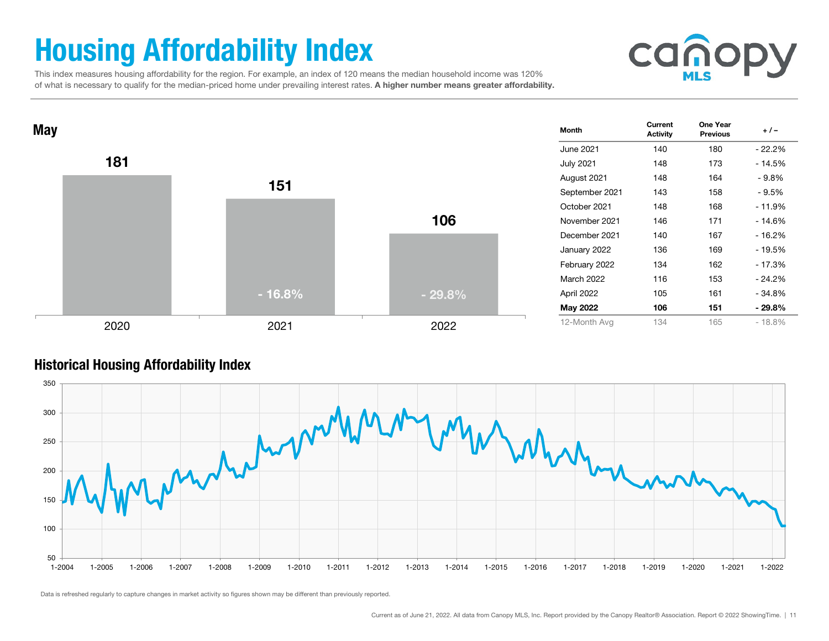## Housing Affordability Index



 This index measures housing affordability for the region. For example, an index of 120 means the median household income was 120% of what is necessary to qualify for the median-priced home under prevailing interest rates. A higher number means greater affordability.



#### Historical Housing Affordability Index